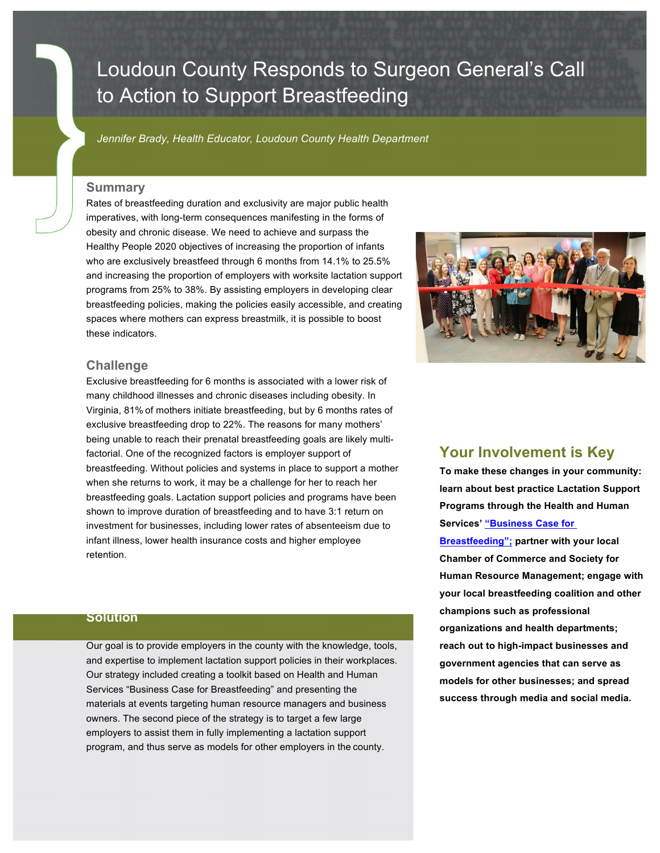# Loudoun County Responds to Surgeon General's Call to Action to Support Breastfeeding

*Jennifer Brady, Health Educator, Loudoun County Health Department*

### **Summary**

Rates of breastfeeding duration and exclusivity are major public health imperatives, with long-term consequences manifesting in the forms of obesity and chronic disease. We need to achieve and surpass the Healthy People 2020 objectives of increasing the proportion of infants who are exclusively breastfeed through 6 months from 14.1% to 25.5% and increasing the proportion of employers with worksite lactation support programs from 25% to 38%. By assisting employers in developing clear breastfeeding policies, making the policies easily accessible, and creating spaces where mothers can express breastmilk, it is possible to boost these indicators.



#### **Challenge**

Exclusive breastfeeding for 6 months is associated with a lower risk of many childhood illnesses and chronic diseases including obesity. In Virginia, 81% of mothers initiate breastfeeding, but by 6 months rates of exclusive breastfeeding drop to 22%. The reasons for many mothers' being unable to reach their prenatal breastfeeding goals are likely multifactorial. One of the recognized factors is employer support of breastfeeding. Without policies and systems in place to support a mother when she returns to work, it may be a challenge for her to reach her breastfeeding goals. Lactation support policies and programs have been shown to improve duration of breastfeeding and to have 3:1 return on investment for businesses, including lower rates of absenteeism due to infant illness, lower health insurance costs and higher employee retention.

### **Solution**

Our goal is to provide employers in the county with the knowledge, tools, and expertise to implement lactation support policies in their workplaces. Our strategy included creating a toolkit based on Health and Human Services "Business Case for Breastfeeding" and presenting the materials at events targeting human resource managers and business owners. The second piece of the strategy is to target a few large employers to assist them in fully implementing a lactation support program, and thus serve as models for other employers in the county.

# **Your Involvement is Key**

**To make these changes in your community: learn about best practice Lactation Support Programs through the Health and Human Services' "Business Case for Breastfeeding"; partner with your local Chamber of Commerce and Society for Human Resource Management; engage with your local breastfeeding coalition and other champions such as professional organizations and health departments; reach out to high-impact businesses and government agencies that can serve as models for other businesses; and spread success through media and social media.**